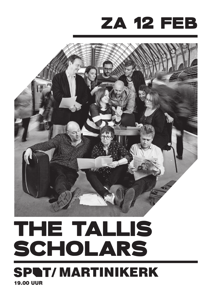# za 12 feb



# 19.00 uur THE TALLIS SCHOLARS **SPAT/MARTINIKERK**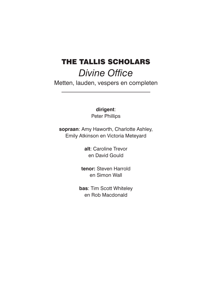# The Tallis Scholars *Divine Office*

Metten, lauden, vespers en completen

**dirigent**: Peter Phillips

**sopraan**: Amy Haworth, Charlotte Ashley, Emily Atkinson en Victoria Meteyard

> **alt**: Caroline Trevor en David Gould

**tenor:** Steven Harrold en Simon Wall

**bas**: Tim Scott Whiteley en Rob Macdonald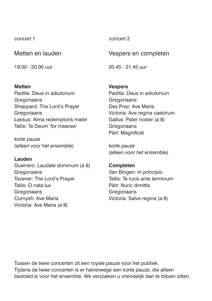concert 1

Metten en lauden

19.00 - 20.00 uur

#### **Metten**

Padilla: Deus in adiutorium **Gregoriaans** Sheppard: The Lord's Prayer Gregoriaans Lassus: Alma redemptoris mater Tallis: Te Deum 'for meanes'

*korte pauze (alleen voor het ensemble)* 

#### **Lauden**

Guerrero: Laudate dominum (a 8) **Gregoriaans** Tavener: The Lord's Prayer Tallis: O nata lux **Gregoriaans** Cornysh: Ave Maria Victoria: Ave Maria (a 8)

concert 2

Vespers en completen

20.45 - 21.45 uur

# **Vespers**

Padilla: Deus in adiutorium **Gregoriaans** Des Prez: Ave Maria Victoria: Ave regina caelorum Gallus: Pater noster (a 8) **Gregoriaans** Pärt: Magnificat

*korte pauze (alleen voor het ensemble)* 

#### **Completen**

Van Bingen: In principio Tallis: Te lucis ante terminum Pärt: Nunc dimittis **Gregoriaans** Victoria: Salve regina (a 8)

Tussen de twee concerten zit een royale pauze voor het publiek. Tijdens de twee concerten is er halverwege een korte pauze, die alleen bedoeld is voor het ensemble. We verzoeken u vriendelijk dan te blijven zitten.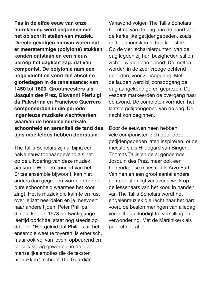**Pas in de elfde eeuw van onze tijdrekening werd begonnen met het op schrift stellen van muziek. Directe gevolgen hiervan waren dat er meerstemmige (polyfone) stukken konden ontstaan en een nieuw beroep het daglicht zag: dat van componist. De polyfonie nam een hoge vlucht en vond zijn absolute gloriedagen in de renaissance: van 1450 tot 1600. Grootmeesters als Josquin des Prez, Giovanni Pierluigi da Palestrina en Francisco Guerrero componeerden in die periode ingenieuze muzikale vlechtwerken, waarvan de hemelse muzikale schoonheid en sereniteit de tand des tijds moeiteloos hebben doorstaan.**

The Tallis Scholars zijn al bijna een halve eeuw toonaangevend als het op de uitvoering van deze muziek aankomt. Wie een concert van het Britse ensemble bijwoont, kan niet anders dan gegrepen worden door de pure schoonheid waarmee het koor zingt. Het is muziek die kalmte en rust over je laat neerdalen en je meevoert naar andere tijden. Peter Phillips, die het koor in 1973 op twintigjarige leeftijd oprichtte, staat nog steeds op de bok. "Het geluid dat Phillips uit het ensemble weet te toveren, is etherisch, maar ook vol van leven, opbeurend en tegelijk stevig geworteld in de diepmenselijke emoties die de teksten uitdrukken", schreef The Guardian.

Vanavond volgen The Tallis Scholars het ritme van de dag aan de hand van de kerkelijke getijdengebeden, zoals ooit de monniken in hun kloosters. Op de vier 'scharnierpunten' van de dag legden zij hun bezigheden stil om zich te wijden aan gebed. De metten werden in de zeer vroege ochtend gebeden, voor zonsopgang. Met de lauden werd bij zonsopgang de dag aangekondigd en geprezen. De vespers markeerden de overgang naar de avond. De completen vormden het laatste getijdengebed van de dag. De nacht kon beginnen.

Door de eeuwen heen hebben vele componisten zich door deze getijdengebeden laten inspireren: oude meesters als Hildegard van Bingen, Thomas Tallis en de al genoemde Josquin des Prez, maar ook een hedendaagse maestro als Arvo Pärt. Van hen en een groot aantal andere componisten ligt vanavond werk op de lessenaars van het koor. In handen van The Tallis Scholars wordt het engelenmuziek die recht naar het hart voert, de beslommeringen van alledag verdrijft en uitnodigt tot verstilling en verwondering. Met de Martinikerk als perfecte locatie.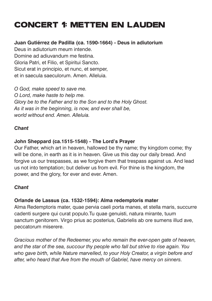# CONCERT 1: Metten en lauden

# **Juan Gutiérrez de Padilla (ca. 1590-1664) - Deus in adiutorium**

Deus in adiutorium meum intende. Domine ad adiuvandum me festina. Gloria Patri, et Filio, et Spiritui Sancto. Sicut erat in principio, et nunc, et semper, et in saecula saeculorum. Amen. Alleluia.

*O God, make speed to save me. O Lord, make haste to help me. Glory be to the Father and to the Son and to the Holy Ghost. As it was in the beginning, is now, and ever shall be, world without end. Amen. Alleluia.*

#### *Chant*

# **John Sheppard (ca.1515-1548) - The Lord's Prayer**

Our Father, which art in heaven, hallowed be thy name; thy kingdom come; thy will be done, in earth as it is in heaven. Give us this day our daily bread. And forgive us our trespasses, as we forgive them that trespass against us. And lead us not into temptation; but deliver us from evil. For thine is the kingdom, the power, and the glory, for ever and ever. Amen.

# *Chant*

#### **Orlande de Lassus (ca. 1532-1594): Alma redemptoris mater**

Alma Redemptoris mater, quae pervia caeli porta manes, et stella maris, succurre cadenti surgere qui curat populo.Tu quae genuisti, natura mirante, tuum sanctum genitorem. Virgo prius ac posterius, Gabrielis ab ore sumens illud ave, peccatorum miserere.

*Gracious mother of the Redeemer, you who remain the ever-open gate of heaven, and the star of the sea, succour thy people who fall but strive to rise again. You who gave birth, while Nature marvelled, to your Holy Creator, a virgin before and after, who heard that Ave from the mouth of Gabriel, have mercy on sinners.*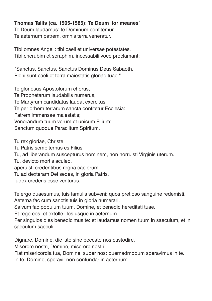#### **Thomas Tallis (ca. 1505-1585): Te Deum 'for meanes'**

Te Deum laudamus: te Dominum confitemur. Te aeternum patrem, omnis terra veneratur.

Tibi omnes Angeli: tibi caeli et universae potestates. Tibi cherubim et seraphim, incessabili voce proclamant:

"Sanctus, Sanctus, Sanctus Dominus Deus Sabaoth. Pleni sunt caeli et terra maiestatis gloriae tuae."

Te gloriosus Apostolorum chorus, Te Prophetarum laudabilis numerus, Te Martyrum candidatus laudat exercitus. Te per orbem terrarum sancta confitetur Ecclesia: Patrem immensae maiestatis; Venerandum tuum verum et unicum Filium; Sanctum quoque Paraclitum Spiritum.

Tu rex gloriae, Christe:

Tu Patris sempiternus es Filius.

Tu, ad liberandum suscepturus hominem, non horruisti Virginis uterum.

Tu, devicto mortis aculeo,

aperuisti credentibus regna caelorum.

Tu ad dexteram Dei sedes, in gloria Patris.

Iudex crederis esse venturus.

Te ergo quaesumus, tuis famulis subveni: quos pretioso sanguine redemisti. Aeterna fac cum sanctis tuis in gloria numerari.

Salvum fac populum tuum, Domine, et benedic hereditati tuae.

Et rege eos, et extolle illos usque in aeternum.

Per singulos dies benedicimus te: et laudamus nomen tuum in saeculum, et in saeculum saeculi.

Dignare, Domine, die isto sine peccato nos custodire.

Miserere nostri, Domine, miserere nostri.

Fiat misericordia tua, Domine, super nos: quemadmodum speravimus in te.

In te, Domine, speravi: non confundar in aeternum.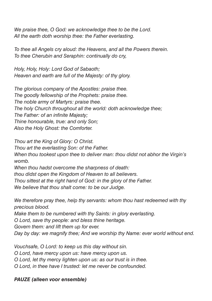*We praise thee, O God: we acknowledge thee to be the Lord. All the earth doth worship thee: the Father everlasting.*

*To thee all Angels cry aloud: the Heavens, and all the Powers therein. To thee Cherubin and Seraphin: continually do cry,*

*Holy, Holy, Holy: Lord God of Sabaoth; Heaven and earth are full of the Majesty: of thy glory.*

*The glorious company of the Apostles: praise thee. The goodly fellowship of the Prophets: praise thee. The noble army of Martyrs: praise thee. The holy Church throughout all the world: doth acknowledge thee; The Father: of an infinite Majesty; Thine honourable, true: and only Son; Also the Holy Ghost: the Comforter.*

*Thou art the King of Glory: O Christ. Thou art the everlasting Son: of the Father. When thou tookest upon thee to deliver man: thou didst not abhor the Virgin's womb.*

*When thou hadst overcome the sharpness of death: thou didst open the Kingdom of Heaven to all believers. Thou sittest at the right hand of God: in the glory of the Father. We believe that thou shalt come: to be our Judge.*

*We therefore pray thee, help thy servants: whom thou hast redeemed with thy precious blood.*

*Make them to be numbered with thy Saints: in glory everlasting.*

*O Lord, save thy people: and bless thine heritage.*

*Govern them: and lift them up for ever.*

*Day by day: we magnify thee; And we worship thy Name: ever world without end.*

*Vouchsafe, O Lord: to keep us this day without sin.*

*O Lord, have mercy upon us: have mercy upon us.*

*O Lord, let thy mercy lighten upon us: as our trust is in thee.*

*O Lord, in thee have I trusted: let me never be confounded.*

# *PAUZE (alleen voor ensemble)*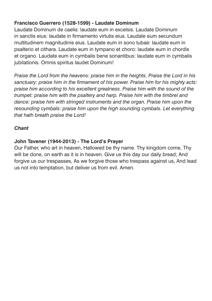# **Francisco Guerrero (1528-1599) - Laudate Dominum**

Laudate Dominum de caelis: laudate eum in excelsis. Laudate Dominum in sanctis eius: laudate in firmamento virtutis eius. Laudate eum secundum multitudinem magnitudinis eius. Laudate eum in sono tubae: laudate eum in psalterio et cithara. Laudate eum in tympano et choro: laudate eum in chordis et organo. Laudate eum in cymbalis bene sonantibus: laudate eum in cymbalis jubilationis. Omnis spiritus laudet Dominum!

*Praise the Lord from the heavens: praise him in the heights. Praise the Lord in his sanctuary: praise him in the firmament of his power. Praise him for his mighty acts: praise him according to his excellent greatness. Praise him with the sound of the trumpet: praise him with the psaltery and harp. Praise him with the timbrel and dance: praise him with stringed instruments and the organ. Praise him upon the resounding cymbals: praise him upon the high sounding cymbals. Let everything that hath breath praise the Lord!*

# *Chant*

# **John Tavener (1944-2013) - The Lord's Prayer**

Our Father, who art in heaven, Hallowed be thy name. Thy kingdom come, Thy will be done, on earth as it is in heaven. Give us this day our daily bread; And forgive us our trespasses, As we forgive those who trespass against us, And lead us not into temptation, but deliver us from evil. Amen.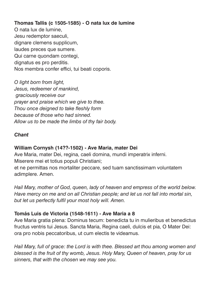# **Thomas Tallis (c 1505-1585) - O nata lux de lumine**

O nata lux de lumine, Jesu redemptor saeculi, dignare clemens supplicum, laudes preces que sumere. Qui carne quondam contegi, dignatus es pro perditis. Nos membra confer effici, tui beati coporis.

*O light born from light, Jesus, redeemer of mankind, graciously receive our prayer and praise which we give to thee. Thou once deigned to take fleshly form because of those who had sinned. Allow us to be made the limbs of thy fair body.*

#### *Chant*

#### **William Cornysh (14??-1502) - Ave Maria, mater Dei**

Ave Maria, mater Dei, regina, caeli domina, mundi imperatrix inferni. Miserere mei et totius populi Christiani;

et ne permittas nos mortaliter peccare, sed tuam sanctissimam voluntatem adimplere. Amen.

*Hail Mary, mother of God, queen, lady of heaven and empress of the world below. Have mercy on me and on all Christian people; and let us not fall into mortal sin, but let us perfectly fulfil your most holy will. Amen.*

#### **Tomás Luis de Victoria (1548-1611) - Ave Maria a 8**

Ave Maria gratia plena: Dominus tecum: benedicta tu in mulieribus et benedictus fructus ventris tui Jesus. Sancta Maria, Regina caeli, dulcis et pia, O Mater Dei: ora pro nobis peccatoribus, ut cum electis te videamus.

*Hail Mary, full of grace: the Lord is with thee. Blessed art thou among women and blessed is the fruit of thy womb, Jesus. Holy Mary, Queen of heaven, pray for us sinners, that with the chosen we may see you.*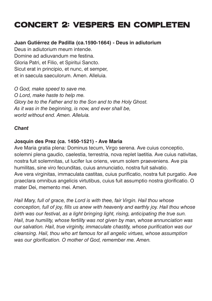# CONCERT 2: Vespers en completen

#### **Juan Gutiérrez de Padilla (ca.1590-1664) - Deus in adiutorium**

Deus in adiutorium meum intende. Domine ad adiuvandum me festina. Gloria Patri, et Filio, et Spiritui Sancto. Sicut erat in principio, et nunc, et semper, et in saecula saeculorum. Amen. Alleluia.

*O God, make speed to save me. O Lord, make haste to help me. Glory be to the Father and to the Son and to the Holy Ghost. As it was in the beginning, is now, and ever shall be, world without end. Amen. Alleluia.*

#### *Chant*

#### **Josquin des Prez (ca. 1450-1521) - Ave Maria**

Ave Maria gratia plena: Dominus tecum, Virgo serena. Ave cuius conceptio, solemni plena gaudio, caelestia, terrestria, nova replet laetitia. Ave cuius nativitas, nostra fuit solemnitas, ut lucifer lux oriens, verum solem praeveniens. Ave pia humilitas, sine viro fecunditas, cuius annunciatio, nostra fuit salvatio. Ave vera virginitas, immaculata castitas, cuius purificatio, nostra fuit purgatio. Ave praeclara omnibus angelicis virtutibus, cuius fuit assumptio nostra glorificatio. O mater Dei, memento mei. Amen.

*Hail Mary, full of grace, the Lord is with thee, fair Virgin. Hail thou whose conception, full of joy, fills us anew with heavenly and earthly joy. Hail thou whose birth was our festival, as a light bringing light, rising, anticipating the true sun. Hail, true humility, whose fertility was not given by man, whose annunciation was our salvation. Hail, true virginity, immaculate chastity, whose purification was our cleansing. Hail, thou who art famous for all angelic virtues, whose assumption was our glorification. O mother of God, remember me. Amen.*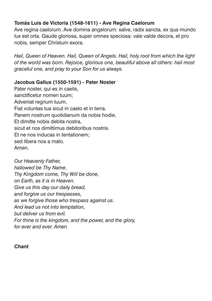# **Tomás Luis de Victoria (1548-1611) - Ave Regina Caelorum**

Ave regina caelorum. Ave domina angelorum: salve, radix sancta, ex qua mundo lux est orta. Gaude gloriosa, super omnes speciosa: vale valde decora, et pro nobis, semper Christum exora.

*Hail, Queen of Heaven. Hail, Queen of Angels. Hail, holy root from which the light of the world was born. Rejoice, glorious one, beautiful above all others: hail most graceful one, and pray to your Son for us always.*

# **Jacobus Gallus (1550-1591) - Pater Noster**

Pater noster, qui es in caelis. sanctificetur nomen tuum; Adveniat regnum tuum. Fiat voluntas tua sicut in caelo et in terra. Panem nostrum quotidianum da nobis hodie, Et dimitte nobis debita nostra, sicut et nos dimittimus debitoribus nostris. Et ne nos inducas in tentationem; sed libera nos a malo. Amen.

*Our Heavenly Father, hallowed be Thy Name. Thy Kingdom come, Thy Will be done, on Earth, as it is in Heaven. Give us this day our daily bread, and forgive us our trespasses, as we forgive those who trespass against us. And lead us not into temptation, but deliver us from evil. For thine is the kingdom, and the power, and the glory, for ever and ever. Amen*

*Chant*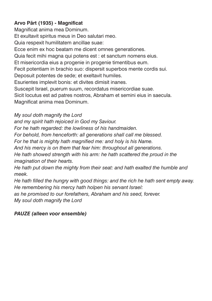# **Arvo Pärt (1935) - Magnificat**

Magnificat anima mea Dominum. Et exultavit spiritus meus in Deo salutari meo. Quia respexit humilitatem ancillae suae: Ecce enim ex hoc beatam me dicent omnes generationes. Quia fecit mihi magna qui potens est : et sanctum nomens eius. Et misericordia eius a progenie in progenie timentibus eum. Fecit potentiam in brachio suo: dispersit superbos mente cordis sui. Deposuit potentes de sede; et exeltavit humiles. Esurientes implevit bonis: et divites dimisit inanes. Suscepit Israel, puerum suum, recordatus misericordiae suae. Sicit locutus est ad patres nostros, Abraham et semini eius in saecula. Magnificat anima mea Dominum.

*My soul doth magnify the Lord*

*and my spirit hath rejoiced in God my Saviour.*

*For he hath regarded: the lowliness of his handmaiden.*

*For behold, from henceforth: all generations shall call me blessed.*

*For he that is mighty hath magnified me: and holy is his Name.*

*And his mercy is on them that fear him: throughout all generations.*

*He hath showed strength with his arm: he hath scattered the proud in the imagination of their hearts.*

*He hath put down the mighty from their seat: and hath exalted the humble and meek.*

*He hath filled the hungry with good things: and the rich he hath sent empty away. He remembering his mercy hath holpen his servant Israel:* 

*as he promised to our forefathers, Abraham and his seed, forever.*

*My soul doth magnify the Lord*

# *PAUZE (alleen voor ensemble)*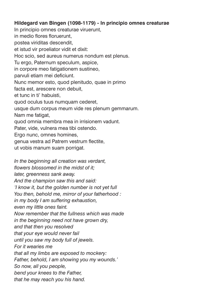#### **Hildegard van Bingen (1098-1179) - In principio omnes creaturae**

In principio omnes creaturae viruerunt, in medio flores floruerunt, postea viriditas descendit, et istud vir proeliator vidit et dixit: Hoc scio, sed aureus numerus nondum est plenus. Tu ergo, Paternum speculum, aspice, in corpore meo fatigationem sustineo, parvuli etiam mei deficiunt. Nunc memor esto, quod plenitudo, quae in primo facta est, arescere non debuit. et tunc in ti' habuisti, quod oculus tuus numquam cederet, usque dum corpus meum vide res plenum gemmarum. Nam me fatigat, quod omnia membra mea in irrisionem vadunt. Pater, vide, vulnera mea tibi ostendo. Ergo nunc, omnes homines, genua vestra ad Patrem vestrum flectite, ut vobis manum suam porrigat. *In the beginning all creation was verdant, flowers blossomed in the midst of it; later, greenness sank away. And the champion saw this and said: 'I know it, but the golden number is not yet full*

*You then, behold me, mirror of your fatherhood :*

*in my body I am suffering exhaustion,*

*even my little ones faint.*

*Now remember that the fullness which was made*

*in the beginning need not have grown dry,*

*and that then you resolved*

*that your eye would never fail*

*until you saw my body full of jewels.*

*For it wearies me*

*that all my limbs are exposed to mockery:*

*Father, behold, I am showing you my wounds.'*

*So now, all you people,*

*bend your knees to the Father,*

*that he may reach you his hand.*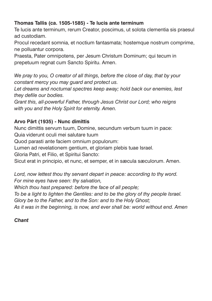# **Thomas Tallis (ca. 1505-1585) - Te lucis ante terminum**

Te lucis ante terminum, rerum Creator, poscimus, ut solota clementia sis praesul ad custodiam.

Procul recedant somnia, et noctium fantasmata; hostemque nostrum comprime, ne polluantur corpora.

Praesta, Pater omnipotens, per Jesum Christum Dominum; qui tecum in prepetuum regnat cum Sancto Spiritu. Amen.

*We pray to you, O creator of all things, before the close of day, that by your constant mercy you may guard and protect us.*

*Let dreams and nocturnal spectres keep away; hold back our enemies, lest they defile our bodies.*

*Grant this, all-powerful Father, through Jesus Christ our Lord; who reigns with you and the Holy Spirit for eternity. Amen.*

# **Arvo Pärt (1935) - Nunc dimittis**

Nunc dimittis servum tuum, Domine, secundum verbum tuum in pace: Quia viderunt oculi mei salutare tuum

Quod parasti ante faciem omnium populorum:

Lumen ad revelationem gentium, et gloriam plebis tuae Israel.

Gloria Patri, et Filio, et Spiritui Sancto:

Sicut erat in principio, et nunc, et semper, et in sæcula sæculorum. Amen.

*Lord, now lettest thou thy servant depart in peace: according to thy word. For mine eyes have seen: thy salvation,* 

*Which thou hast prepared: before the face of all people;* 

*To be a light to lighten the Gentiles: and to be the glory of thy people Israel.*

*Glory be to the Father, and to the Son: and to the Holy Ghost;*

*As it was in the beginning, is now, and ever shall be: world without end. Amen*

# *Chant*